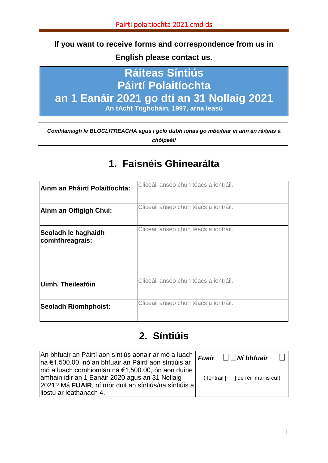### **If you want to receive forms and correspondence from us in**

**English please contact us.**

## **Ráiteas Síntiús Páirtí Polaitíochta an 1 Eanáir 2021 go dtí an 31 Nollaig 2021 An tAcht Toghcháin, 1997, arna leasú**

*Comhlánaigh le BLOCLITREACHA agus i gcló dubh ionas go mbeifear in ann an ráiteas a chóipeáil*

# **1. Faisnéis Ghinearálta**

| Ainm an Pháirtí Polaitíochta:          | Cliceáil anseo chun téacs a iontráil. |
|----------------------------------------|---------------------------------------|
| Ainm an Oifigigh Chuí:                 | Cliceáil anseo chun téacs a iontráil. |
| Seoladh le haghaidh<br>comhfhreagrais: | Cliceáil anseo chun téacs a iontráil. |
| Uimh. Theileafóin                      | Cliceáil anseo chun téacs a iontráil. |
| Seoladh Ríomhphoist:                   | Cliceáil anseo chun téacs a iontráil. |

## **2. Síntiúis**

| ∣An bhfuair an Páirtí aon síntiús aonair ar mó a luach   <i>Fuair □□Ní bhfuair</i><br> ná €1,500.00, nó an bhfuair an Páirtí aon síntiúis ar                                            |                                                       |  |
|-----------------------------------------------------------------------------------------------------------------------------------------------------------------------------------------|-------------------------------------------------------|--|
| mó a luach comhiomlán ná €1,500.00, ón aon duine<br>amháin idir an 1 Eanáir 2020 agus an 31 Nollaig<br>2021? Má FUAIR, ní mór duit an síntiús/na síntiúis a<br>lliostú ar leathanach 4. | (lontráil $\lceil \square \rceil$ de réir mar is cuí) |  |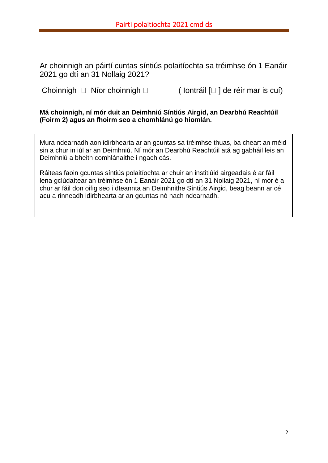Ar choinnigh an páirtí cuntas síntiús polaitíochta sa tréimhse ón 1 Eanáir 2021 go dtí an 31 Nollaig 2021?

Choinnigh  $\Box$  Níor choinnigh  $\Box$  (lontráil  $\Box$ ) de réir mar is cuí)

**Má choinnigh, ní mór duit an Deimhniú Síntiús Airgid, an Dearbhú Reachtúil (Foirm 2) agus an fhoirm seo a chomhlánú go hiomlán.**

Mura ndearnadh aon idirbhearta ar an gcuntas sa tréimhse thuas, ba cheart an méid sin a chur in iúl ar an Deimhniú. Ní mór an Dearbhú Reachtúil atá ag gabháil leis an Deimhniú a bheith comhlánaithe i ngach cás.

Ráiteas faoin gcuntas síntiús polaitíochta ar chuir an institiúid airgeadais é ar fáil lena gclúdaítear an tréimhse ón 1 Eanáir 2021 go dtí an 31 Nollaig 2021, ní mór é a chur ar fáil don oifig seo i dteannta an Deimhnithe Síntiús Airgid, beag beann ar cé acu a rinneadh idirbhearta ar an gcuntas nó nach ndearnadh.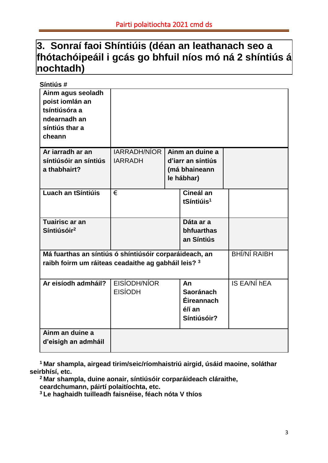## **3. Sonraí faoi Shíntiúis (déan an leathanach seo a fhótachóipeáil i gcás go bhfuil níos mó ná 2 shíntiús á nochtadh)**

| Síntiús#                                                                                                                             |                     |  |                          |              |
|--------------------------------------------------------------------------------------------------------------------------------------|---------------------|--|--------------------------|--------------|
| Ainm agus seoladh<br>poist iomlán an<br>tsíntiúsóra a<br>ndearnadh an<br>síntiús thar a<br>cheann                                    |                     |  |                          |              |
| Ar jarradh ar an                                                                                                                     | <b>IARRADH/NÍOR</b> |  | Ainm an duine a          |              |
| síntiúsóir an síntiús                                                                                                                | <b>IARRADH</b>      |  | d'iarr an síntiús        |              |
| a thabhairt?                                                                                                                         |                     |  | (má bhaineann            |              |
|                                                                                                                                      |                     |  | le hábhar)               |              |
| Luach an tSíntiúis                                                                                                                   | €                   |  | Cineál an                |              |
|                                                                                                                                      |                     |  | tSíntiúis <sup>1</sup>   |              |
|                                                                                                                                      |                     |  |                          |              |
| <b>Tuairisc ar an</b>                                                                                                                |                     |  | Dáta ar a                |              |
| Síntiúsóir <sup>2</sup>                                                                                                              |                     |  | bhfuarthas<br>an Síntiús |              |
|                                                                                                                                      |                     |  |                          |              |
| <b>BHÍ/NÍ RAIBH</b><br>Má fuarthas an síntiús ó shíntiúsóir corparáideach, an<br>raibh foirm um ráiteas ceadaithe ag gabháil leis? 3 |                     |  |                          |              |
| Ar eisíodh admháil?                                                                                                                  | EISÍODH/NÍOR        |  | An                       | IS EA/NÍ hEA |
|                                                                                                                                      | <b>EISÍODH</b>      |  | <b>Saoránach</b>         |              |
|                                                                                                                                      |                     |  | Éireannach               |              |
|                                                                                                                                      |                     |  | é/í an                   |              |
|                                                                                                                                      |                     |  | Síntiúsóir?              |              |
| Ainm an duine a                                                                                                                      |                     |  |                          |              |
| d'eisigh an admháil                                                                                                                  |                     |  |                          |              |

**<sup>1</sup>Mar shampla, airgead tirim/seic/ríomhaistriú airgid, úsáid maoine, soláthar seirbhísí, etc.**

**<sup>2</sup>Mar shampla, duine aonair, síntiúsóir corparáideach cláraithe,** 

**ceardchumann, páirtí polaitíochta, etc.**

**3 Le haghaidh tuilleadh faisnéise, féach nóta V thíos**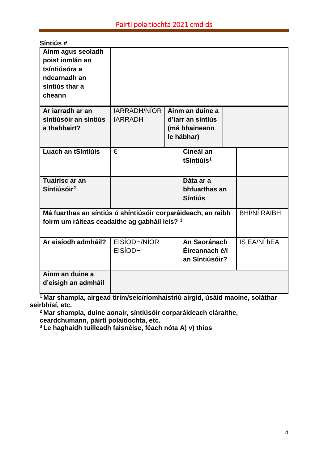| Síntiús#                                                                                          |                                                                                     |  |                        |  |              |
|---------------------------------------------------------------------------------------------------|-------------------------------------------------------------------------------------|--|------------------------|--|--------------|
| Ainm agus seoladh<br>poist iomlán an<br>tsíntiúsóra a<br>ndearnadh an<br>síntiús thar a<br>cheann |                                                                                     |  |                        |  |              |
| Ar iarradh ar an                                                                                  | <b>IARRADH/NÍOR</b>                                                                 |  | Ainm an duine a        |  |              |
| síntiúsóir an síntiús                                                                             | <b>IARRADH</b>                                                                      |  | d'iarr an síntiús      |  |              |
| a thabhairt?                                                                                      |                                                                                     |  | (má bhaineann          |  |              |
|                                                                                                   |                                                                                     |  | le hábhar)             |  |              |
| Luach an tSíntiúis                                                                                | €                                                                                   |  | Cineál an              |  |              |
|                                                                                                   |                                                                                     |  | tSíntiúis <sup>1</sup> |  |              |
|                                                                                                   |                                                                                     |  |                        |  |              |
| Tuairisc ar an                                                                                    |                                                                                     |  | Dáta ar a              |  |              |
| Síntiúsóir <sup>2</sup>                                                                           |                                                                                     |  | bhfuarthas an          |  |              |
|                                                                                                   |                                                                                     |  | <b>Síntiús</b>         |  |              |
|                                                                                                   | <b>BHÍ/NÍ RAIBH</b><br>Má fuarthas an síntiús ó shíntiúsóir corparáideach, an raibh |  |                        |  |              |
| foirm um ráiteas ceadaithe ag gabháil leis? 3                                                     |                                                                                     |  |                        |  |              |
|                                                                                                   |                                                                                     |  |                        |  |              |
| Ar eisíodh admháil?                                                                               | EISÍODH/NÍOR                                                                        |  | An Saoránach           |  | IS EA/NÍ hEA |
|                                                                                                   | <b>EISÍODH</b>                                                                      |  | Éireannach é/í         |  |              |
|                                                                                                   |                                                                                     |  | an Síntiúsóir?         |  |              |
| Ainm an duine a                                                                                   |                                                                                     |  |                        |  |              |
| d'eisigh an admháil                                                                               |                                                                                     |  |                        |  |              |
|                                                                                                   |                                                                                     |  |                        |  |              |

**<sup>1</sup>Mar shampla, airgead tirim/seic/ríomhaistriú airgid, úsáid maoine, soláthar seirbhísí, etc.**

**<sup>2</sup>Mar shampla, duine aonair, síntiúsóir corparáideach cláraithe, ceardchumann, páirtí polaitíochta, etc.**

**3 Le haghaidh tuilleadh faisnéise, féach nóta A) v) thíos**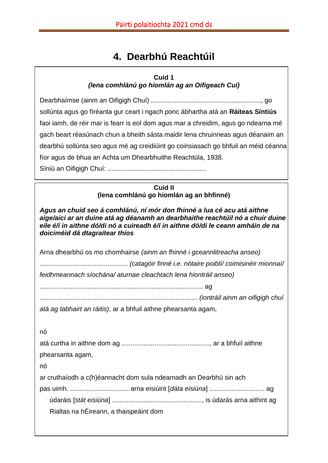# **4. Dearbhú Reachtúil**

### **Cuid 1** *(lena comhlánú go hiomlán ag an Oifigeach Cuí)*

Dearbhaímse (ainm an Oifigigh Chuí) ............................................................, go sollúnta agus go fíréanta gur ceart i ngach ponc ábhartha atá an **Ráiteas Síntiús** faoi iamh, de réir mar is fearr is eol dom agus mar a chreidim, agus go ndearna mé gach beart réasúnach chun a bheith sásta maidir lena chruinneas agus déanaim an dearbhú sollúnta seo agus mé ag creidiúint go coinsiasach go bhfuil an méid céanna fíor agus de bhua an Achta um Dhearbhuithe Reachtúla, 1938.

Síniú an Oifigigh Chuí: ......................................................

**Cuid II (lena comhlánú go hiomlán ag an bhfinné)**

*Agus an chuid seo á comhlánú, ní mór don fhinné a lua cé acu atá aithne aige/aici ar an duine atá ag déanamh an dearbhaithe reachtúil nó a chuir duine eile é/í in aithne dó/di nó a cuireadh é/í in aithne dó/di le ceann amháin de na doiciméid dá dtagraítear thíos*

Arna dhearbhú os mo chomhairse *(ainm an fhinné i gceannlitreacha anseo)*

................................................ *(catagóir finné i.e. nótaire poiblí/ coimisinéir mionnaí/ feidhmeannach síochána/ aturnae cleachtach lena hiontráil anseo)*

......................................................................................... ag

...................................................................................... *(iontráil ainm an oifigigh chuí* 

*atá ag tabhairt an ráitis)*, ar a bhfuil aithne phearsanta agam,

nó

atá curtha in aithne dom ag ................................................, ar a bhfuil aithne phearsanta agam, nó ar cruthaíodh a c(h)éannacht dom sula ndearnadh an Dearbhú sin ach pas uimh. ................................ arna eisiúint [*dáta eisiúna*] .............................. ag údaráis [*stát eisiúna*] ................................................., is údarás arna aithint ag Rialtas na hÉireann, a thaispeáint dom

5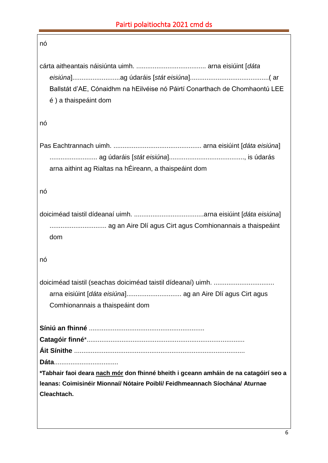| nó                                                                                                  |
|-----------------------------------------------------------------------------------------------------|
| Ballstát d'AE, Cónaidhm na hEilvéise nó Páirtí Conarthach de Chomhaontú LEE<br>é) a thaispeáint dom |
| nó                                                                                                  |
| arna aithint ag Rialtas na hÉireann, a thaispeáint dom                                              |
| nó                                                                                                  |
| dom                                                                                                 |
| nó                                                                                                  |
| Comhionannais a thaispeáint dom                                                                     |
|                                                                                                     |
|                                                                                                     |
|                                                                                                     |
| *Tabhair faoi deara nach mór don fhinné bheith i gceann amháin de na catagóirí seo a                |
| leanas: Coimisinéir Mionnaí/ Nótaire Poiblí/ Feidhmeannach Síochána/ Aturnae                        |
| Cleachtach.                                                                                         |
|                                                                                                     |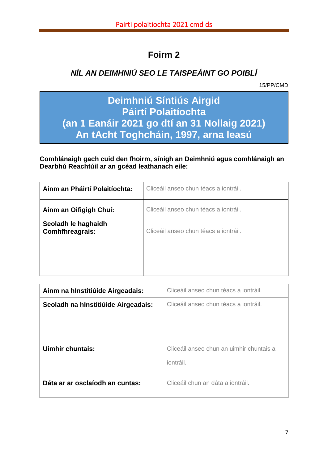## **Foirm 2**

### *NÍL AN DEIMHNIÚ SEO LE TAISPEÁINT GO POIBLÍ*

15/PP/CMD

## **Deimhniú Síntiús Airgid Páirtí Polaitíochta (an 1 Eanáir 2021 go dtí an 31 Nollaig 2021) An tAcht Toghcháin, 1997, arna leasú**

**Comhlánaigh gach cuid den fhoirm, sínigh an Deimhniú agus comhlánaigh an Dearbhú Reachtúil ar an gcéad leathanach eile:**

| Ainm an Pháirtí Polaitíochta:          | Cliceáil anseo chun téacs a iontráil. |
|----------------------------------------|---------------------------------------|
| Ainm an Oifigigh Chuí:                 | Cliceáil anseo chun téacs a iontráil. |
| Seoladh le haghaidh<br>Comhfhreagrais: | Cliceáil anseo chun téacs a iontráil. |

| Ainm na hInstitiúide Airgeadais:    | Cliceáil anseo chun téacs a iontráil.                 |  |  |
|-------------------------------------|-------------------------------------------------------|--|--|
| Seoladh na hInstitiúide Airgeadais: | Cliceáil anseo chun téacs a iontráil.                 |  |  |
| Uimhir chuntais:                    | Cliceáil anseo chun an uimhir chuntais a<br>iontráil. |  |  |
| Dáta ar ar osclaíodh an cuntas:     | Cliceáil chun an dáta a iontráil.                     |  |  |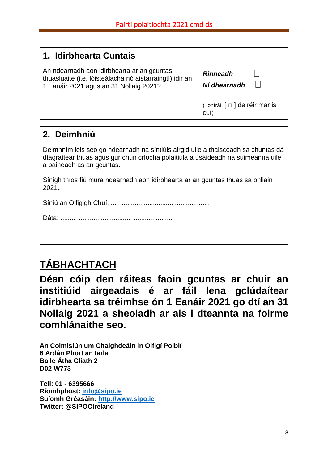| 1. Idirbhearta Cuntais                                                                                                                           |                                        |
|--------------------------------------------------------------------------------------------------------------------------------------------------|----------------------------------------|
| An ndearnadh aon idirbhearta ar an gcuntas<br>thuasluaite (i.e. lóisteálacha nó aistarraingtí) idir an<br>1 Eanáir 2021 agus an 31 Nollaig 2021? | <b>Rinneadh</b><br>Ní dhearnadh        |
|                                                                                                                                                  | (lontráil [ □ ] de réir mar is<br>cuí) |

## **2. Deimhniú**

Deimhním leis seo go ndearnadh na síntiúis airgid uile a thaisceadh sa chuntas dá dtagraítear thuas agus gur chun críocha polaitiúla a úsáideadh na suimeanna uile a baineadh as an gcuntas.

Sínigh thíos fiú mura ndearnadh aon idirbhearta ar an gcuntas thuas sa bhliain 2021.

Síniú an Oifigigh Chuí: ......................................................

# **TÁBHACHTACH**

**Déan cóip den ráiteas faoin gcuntas ar chuir an institiúid airgeadais é ar fáil lena gclúdaítear idirbhearta sa tréimhse ón 1 Eanáir 2021 go dtí an 31 Nollaig 2021 a sheoladh ar ais i dteannta na foirme comhlánaithe seo.**

**An Coimisiún um Chaighdeáin in Oifigí Poiblí 6 Ardán Phort an Iarla Baile Átha Cliath 2 D02 W773**

**Teil: 01 - 6395666 Ríomhphost: [info@sipo.ie](mailto:info@sipo.ie) Suíomh Gréasáin: [http://www.sipo.ie](http://www.sipo.ie/) Twitter: @SIPOCIreland**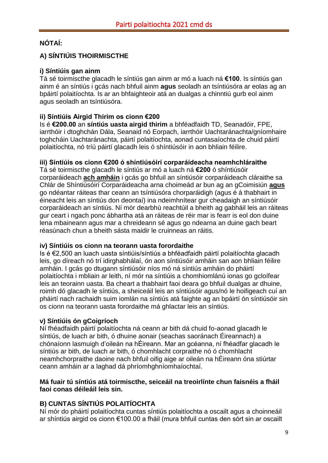### **NÓTAÍ:**

### **A) SÍNTIÚIS THOIRMISCTHE**

### **i) Síntiúis gan ainm**

Tá sé toirmiscthe glacadh le síntiús gan ainm ar mó a luach ná **€100**. Is síntiús gan ainm é an síntiús i gcás nach bhfuil ainm **agus** seoladh an tsíntiúsóra ar eolas ag an bpáirtí polaitíochta. Is ar an bhfaighteoir atá an dualgas a chinntiú gurb eol ainm agus seoladh an tsíntiúsóra.

### **ii) Síntiúis Airgid Thirim os cionn €200**

Is é **€200.00** an **síntiús uasta airgid thirim** a bhféadfaidh TD, Seanadóir, FPE, iarrthóir i dtoghchán Dála, Seanaid nó Eorpach, iarrthóir Uachtaránachta/gníomhaire toghcháin Uachtaránachta, páirtí polaitíochta, aonad cuntasaíochta de chuid páirtí polaitíochta, nó tríú páirtí glacadh leis ó shíntiúsóir in aon bhliain féilire.

### **iii) Síntiúis os cionn €200 ó shíntiúsóirí corparáideacha neamhchláraithe**

Tá sé toirmiscthe glacadh le síntiús ar mó a luach ná **€200** ó shíntiúsóir corparáideach **ach amháin** i gcás go bhfuil an síntiúsóir corparáideach cláraithe sa Chlár de Shíntiúsóirí Corparáideacha arna choimeád ar bun ag an gCoimisiún **agus** go ndéantar ráiteas thar ceann an tsíntiúsóra chorparáidigh (agus é á thabhairt in éineacht leis an síntiús don deontaí) ina ndeimhnítear gur cheadaigh an síntiúsóir corparáideach an síntiús. Ní mór dearbhú reachtúil a bheith ag gabháil leis an ráiteas gur ceart i ngach ponc ábhartha atá an ráiteas de réir mar is fearr is eol don duine lena mbaineann agus mar a chreideann sé agus go ndearna an duine gach beart réasúnach chun a bheith sásta maidir le cruinneas an ráitis.

### **iv) Síntiúis os cionn na teorann uasta forordaithe**

Is é €2,500 an luach uasta síntiúis/síntiús a bhféadfaidh páirtí polaitíochta glacadh leis, go díreach nó trí idirghabhálaí, ón aon síntiúsóir amháin san aon bhliain féilire amháin. I gcás go dtugann síntiúsóir níos mó ná síntiús amháin do pháirtí polaitíochta i mbliain ar leith, ní mór na síntiúis a chomhiomlánú ionas go gcloífear leis an teorainn uasta. Ba cheart a thabhairt faoi deara go bhfuil dualgas ar dhuine, roimh dó glacadh le síntiús, a sheiceáil leis an síntiúsóir agus/nó le hoifigeach cuí an pháirtí nach rachaidh suim iomlán na síntiús atá faighte ag an bpáirtí ón síntiúsóir sin os cionn na teorann uasta forordaithe má ghlactar leis an síntiús.

### **v) Síntiúis ón gCoigríoch**

Ní fhéadfaidh páirtí polaitíochta ná ceann ar bith dá chuid fo-aonad glacadh le síntiús, de luach ar bith, ó dhuine aonair (seachas saoránach Éireannach) a chónaíonn lasmuigh d'oileán na hÉireann. Mar an gcéanna, ní fhéadfar glacadh le síntiús ar bith, de luach ar bith, ó chomhlacht corpraithe nó ó chomhlacht neamhchorpraithe daoine nach bhfuil oifig aige ar oileán na hÉireann óna stiúrtar ceann amháin ar a laghad dá phríomhghníomhaíochtaí.

#### **Má fuair tú síntiús atá toirmiscthe, seiceáil na treoirlínte chun faisnéis a fháil faoi conas déileáil leis sin.**

### **B) CUNTAS SÍNTIÚS POLAITÍOCHTA**

Ní mór do pháirtí polaitíochta cuntas síntiús polaitíochta a oscailt agus a choinneáil ar shíntiús airgid os cionn €100.00 a fháil (mura bhfuil cuntas den sórt sin ar oscailt